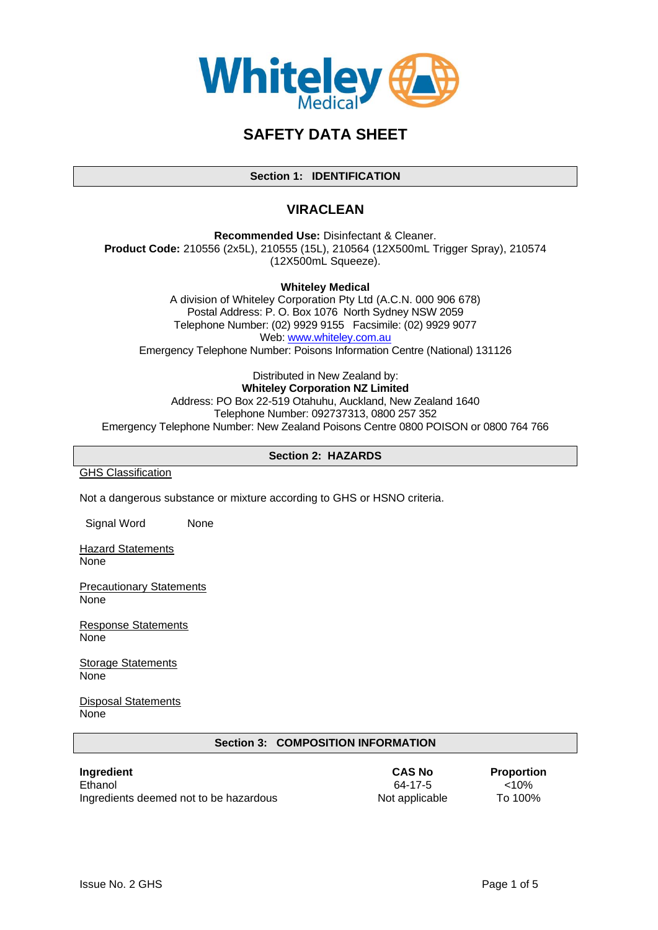

# **SAFETY DATA SHEET**

## **Section 1: IDENTIFICATION**

# **VIRACLEAN**

**Recommended Use:** Disinfectant & Cleaner. **Product Code:** 210556 (2x5L), 210555 (15L), 210564 (12X500mL Trigger Spray), 210574 (12X500mL Squeeze).

**Whiteley Medical**

A division of Whiteley Corporation Pty Ltd (A.C.N. 000 906 678) Postal Address: P. O. Box 1076 North Sydney NSW 2059 Telephone Number: (02) 9929 9155 Facsimile: (02) 9929 9077 Web[: www.whiteley.com.au](http://www.whiteley.com.au/)

Emergency Telephone Number: Poisons Information Centre (National) 131126

Distributed in New Zealand by:

**Whiteley Corporation NZ Limited** Address: PO Box 22-519 Otahuhu, Auckland, New Zealand 1640 Telephone Number: 092737313, 0800 257 352 Emergency Telephone Number: New Zealand Poisons Centre 0800 POISON or 0800 764 766

#### **Section 2: HAZARDS**

**GHS Classification** 

Not a dangerous substance or mixture according to GHS or HSNO criteria.

Signal Word None

**Hazard Statements** None

**Precautionary Statements** None

Response Statements None

**Storage Statements** None

Disposal Statements None

## **Section 3: COMPOSITION INFORMATION**

| Ingredient                             | <b>CAS No</b>  | Proportion |
|----------------------------------------|----------------|------------|
| Ethanol                                | 64-17-5        | ${<}10\%$  |
| Ingredients deemed not to be hazardous | Not applicable | To 100%    |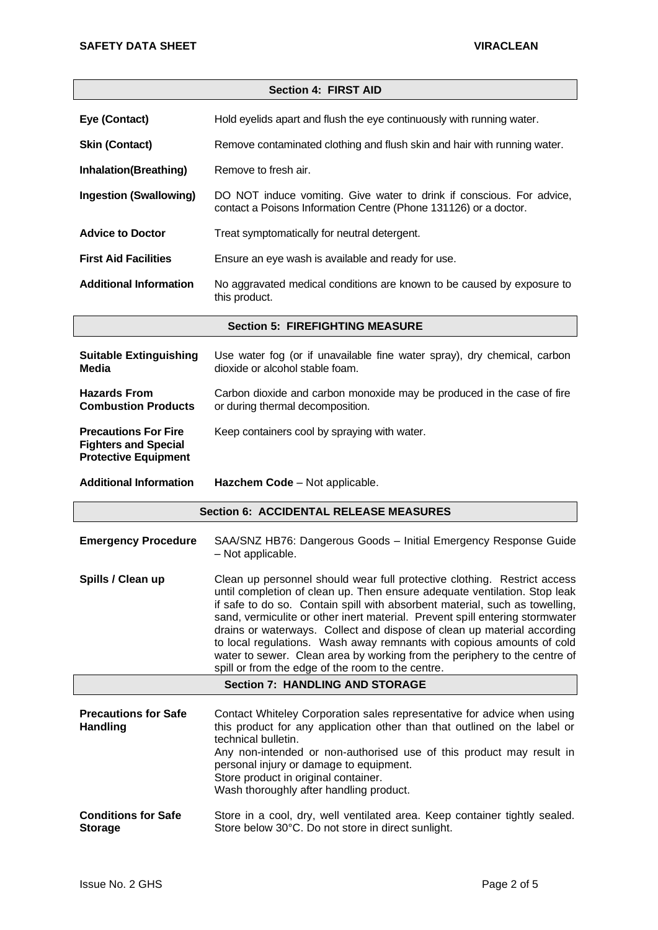| <b>Section 4: FIRST AID</b>   |                                                                                                                                           |  |
|-------------------------------|-------------------------------------------------------------------------------------------------------------------------------------------|--|
| Eye (Contact)                 | Hold eyelids apart and flush the eye continuously with running water.                                                                     |  |
| <b>Skin (Contact)</b>         | Remove contaminated clothing and flush skin and hair with running water.                                                                  |  |
| Inhalation(Breathing)         | Remove to fresh air.                                                                                                                      |  |
| <b>Ingestion (Swallowing)</b> | DO NOT induce vomiting. Give water to drink if conscious. For advice,<br>contact a Poisons Information Centre (Phone 131126) or a doctor. |  |
| <b>Advice to Doctor</b>       | Treat symptomatically for neutral detergent.                                                                                              |  |
| <b>First Aid Facilities</b>   | Ensure an eye wash is available and ready for use.                                                                                        |  |
| <b>Additional Information</b> | No aggravated medical conditions are known to be caused by exposure to<br>this product.                                                   |  |

| <b>Section 5: FIREFIGHTING MEASURE</b> |
|----------------------------------------|
|                                        |

| <b>Suitable Extinguishing</b>                                                             | Use water fog (or if unavailable fine water spray), dry chemical, carbon |
|-------------------------------------------------------------------------------------------|--------------------------------------------------------------------------|
| Media                                                                                     | dioxide or alcohol stable foam.                                          |
| <b>Hazards From</b>                                                                       | Carbon dioxide and carbon monoxide may be produced in the case of fire   |
| <b>Combustion Products</b>                                                                | or during thermal decomposition.                                         |
| <b>Precautions For Fire</b><br><b>Fighters and Special</b><br><b>Protective Equipment</b> | Keep containers cool by spraying with water.                             |
| <b>Additional Information</b>                                                             | Hazchem Code - Not applicable.                                           |

| <b>Section 6: ACCIDENTAL RELEASE MEASURES</b>  |                                                                                                                                                                                                                                                                                                                                                                                                                                                                                                                                                                                                            |  |
|------------------------------------------------|------------------------------------------------------------------------------------------------------------------------------------------------------------------------------------------------------------------------------------------------------------------------------------------------------------------------------------------------------------------------------------------------------------------------------------------------------------------------------------------------------------------------------------------------------------------------------------------------------------|--|
| <b>Emergency Procedure</b>                     | SAA/SNZ HB76: Dangerous Goods - Initial Emergency Response Guide<br>- Not applicable.                                                                                                                                                                                                                                                                                                                                                                                                                                                                                                                      |  |
| Spills / Clean up                              | Clean up personnel should wear full protective clothing. Restrict access<br>until completion of clean up. Then ensure adequate ventilation. Stop leak<br>if safe to do so. Contain spill with absorbent material, such as towelling,<br>sand, vermiculite or other inert material. Prevent spill entering stormwater<br>drains or waterways. Collect and dispose of clean up material according<br>to local regulations. Wash away remnants with copious amounts of cold<br>water to sewer. Clean area by working from the periphery to the centre of<br>spill or from the edge of the room to the centre. |  |
|                                                | <b>Section 7: HANDLING AND STORAGE</b>                                                                                                                                                                                                                                                                                                                                                                                                                                                                                                                                                                     |  |
| <b>Precautions for Safe</b><br><b>Handling</b> | Contact Whiteley Corporation sales representative for advice when using<br>this product for any application other than that outlined on the label or<br>technical bulletin.<br>Any non-intended or non-authorised use of this product may result in<br>personal injury or damage to equipment.<br>Store product in original container.<br>Wash thoroughly after handling product.                                                                                                                                                                                                                          |  |
| <b>Conditions for Safe</b><br><b>Storage</b>   | Store in a cool, dry, well ventilated area. Keep container tightly sealed.<br>Store below 30°C. Do not store in direct sunlight.                                                                                                                                                                                                                                                                                                                                                                                                                                                                           |  |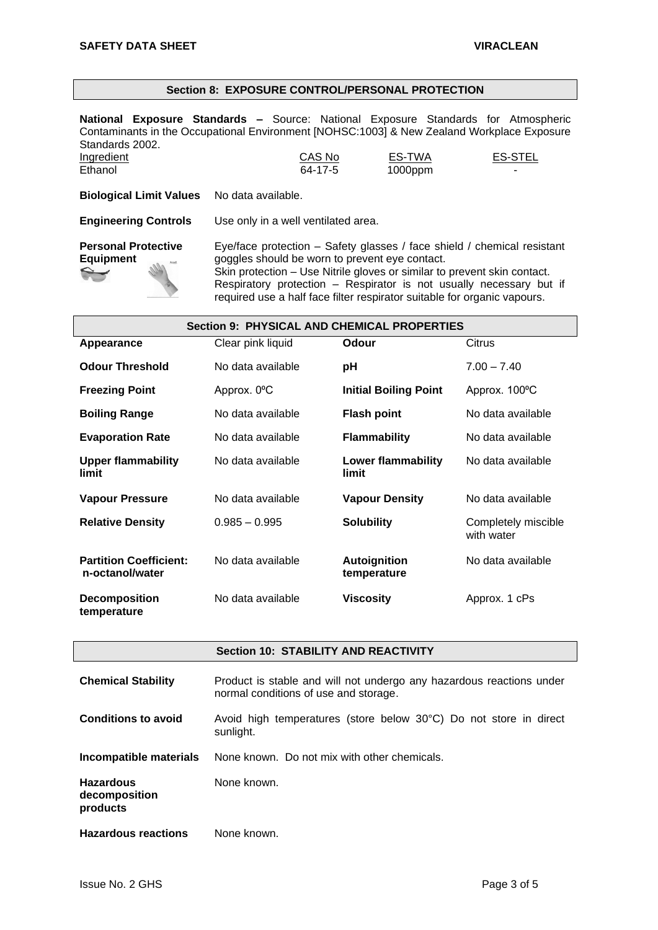## **Section 8: EXPOSURE CONTROL/PERSONAL PROTECTION**

**National Exposure Standards –** Source: National Exposure Standards for Atmospheric Contaminants in the Occupational Environment [NOHSC:1003] & New Zealand Workplace Exposure Standards 2002.

| <b>Ingredient</b>                                 | CAS No  | ES-TWA     | ES-STEL |
|---------------------------------------------------|---------|------------|---------|
| Ethanol                                           | 64-17-5 | $1000$ ppm |         |
| <b>Biological Limit Values</b> No data available. |         |            |         |

| <b>Engineering Controls</b> | Use only in a well ventilated area. |
|-----------------------------|-------------------------------------|
|                             |                                     |

**Personal Protective Equipment**

Eye/face protection – Safety glasses / face shield / chemical resistant goggles should be worn to prevent eye contact. Skin protection – Use Nitrile gloves or similar to prevent skin contact. Respiratory protection – Respirator is not usually necessary but if required use a half face filter respirator suitable for organic vapours.

| <b>Section 9: PHYSICAL AND CHEMICAL PROPERTIES</b> |                   |                                    |                                   |
|----------------------------------------------------|-------------------|------------------------------------|-----------------------------------|
| Appearance                                         | Clear pink liquid | Odour                              | Citrus                            |
| <b>Odour Threshold</b>                             | No data available | рH                                 | $7.00 - 7.40$                     |
| <b>Freezing Point</b>                              | Approx. 0°C       | <b>Initial Boiling Point</b>       | Approx. 100°C                     |
| <b>Boiling Range</b>                               | No data available | <b>Flash point</b>                 | No data available                 |
| <b>Evaporation Rate</b>                            | No data available | <b>Flammability</b>                | No data available                 |
| <b>Upper flammability</b><br>limit                 | No data available | <b>Lower flammability</b><br>limit | No data available                 |
| Vapour Pressure                                    | No data available | <b>Vapour Density</b>              | No data available                 |
| <b>Relative Density</b>                            | $0.985 - 0.995$   | <b>Solubility</b>                  | Completely miscible<br>with water |
| <b>Partition Coefficient:</b><br>n-octanol/water   | No data available | <b>Autoignition</b><br>temperature | No data available                 |
| <b>Decomposition</b><br>temperature                | No data available | <b>Viscosity</b>                   | Approx. 1 cPs                     |

#### **Section 10: STABILITY AND REACTIVITY**

| <b>Chemical Stability</b>                     | Product is stable and will not undergo any hazardous reactions under<br>normal conditions of use and storage. |  |
|-----------------------------------------------|---------------------------------------------------------------------------------------------------------------|--|
| <b>Conditions to avoid</b>                    | Avoid high temperatures (store below 30°C) Do not store in direct<br>sunlight.                                |  |
| Incompatible materials                        | None known. Do not mix with other chemicals.                                                                  |  |
| <b>Hazardous</b><br>decomposition<br>products | None known.                                                                                                   |  |
| <b>Hazardous reactions</b>                    | None known.                                                                                                   |  |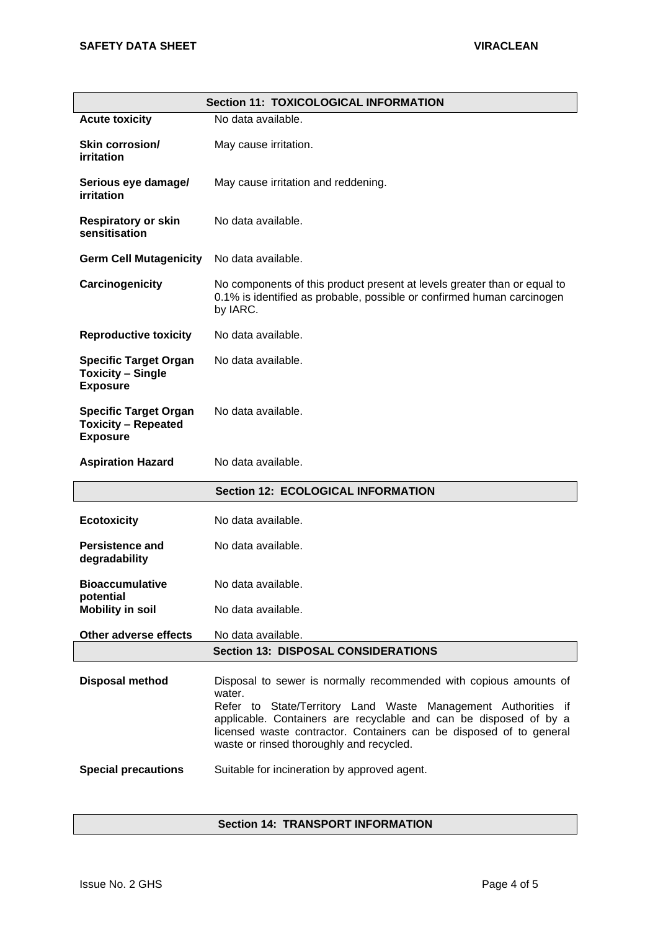| <b>Section 11: TOXICOLOGICAL INFORMATION</b>                                  |                                                                                                                                                                                                                                                                                                                                      |  |
|-------------------------------------------------------------------------------|--------------------------------------------------------------------------------------------------------------------------------------------------------------------------------------------------------------------------------------------------------------------------------------------------------------------------------------|--|
| <b>Acute toxicity</b>                                                         | No data available.                                                                                                                                                                                                                                                                                                                   |  |
| Skin corrosion/<br><b>irritation</b>                                          | May cause irritation.                                                                                                                                                                                                                                                                                                                |  |
| Serious eye damage/<br><b>irritation</b>                                      | May cause irritation and reddening.                                                                                                                                                                                                                                                                                                  |  |
| <b>Respiratory or skin</b><br>sensitisation                                   | No data available.                                                                                                                                                                                                                                                                                                                   |  |
| <b>Germ Cell Mutagenicity</b>                                                 | No data available.                                                                                                                                                                                                                                                                                                                   |  |
| Carcinogenicity                                                               | No components of this product present at levels greater than or equal to<br>0.1% is identified as probable, possible or confirmed human carcinogen<br>by IARC.                                                                                                                                                                       |  |
| <b>Reproductive toxicity</b>                                                  | No data available.                                                                                                                                                                                                                                                                                                                   |  |
| <b>Specific Target Organ</b><br><b>Toxicity - Single</b><br><b>Exposure</b>   | No data available.                                                                                                                                                                                                                                                                                                                   |  |
| <b>Specific Target Organ</b><br><b>Toxicity - Repeated</b><br><b>Exposure</b> | No data available.                                                                                                                                                                                                                                                                                                                   |  |
| <b>Aspiration Hazard</b>                                                      | No data available.                                                                                                                                                                                                                                                                                                                   |  |
|                                                                               | <b>Section 12: ECOLOGICAL INFORMATION</b>                                                                                                                                                                                                                                                                                            |  |
| <b>Ecotoxicity</b>                                                            | No data available.                                                                                                                                                                                                                                                                                                                   |  |
| <b>Persistence and</b><br>degradability                                       | No data available.                                                                                                                                                                                                                                                                                                                   |  |
| <b>Bioaccumulative</b><br>potential                                           | No data available.                                                                                                                                                                                                                                                                                                                   |  |
| <b>Mobility in soil</b>                                                       | No data available.                                                                                                                                                                                                                                                                                                                   |  |
| Other adverse effects                                                         | No data available.                                                                                                                                                                                                                                                                                                                   |  |
|                                                                               | <b>Section 13: DISPOSAL CONSIDERATIONS</b>                                                                                                                                                                                                                                                                                           |  |
| <b>Disposal method</b>                                                        | Disposal to sewer is normally recommended with copious amounts of<br>water.<br>Refer to State/Territory Land Waste Management Authorities if<br>applicable. Containers are recyclable and can be disposed of by a<br>licensed waste contractor. Containers can be disposed of to general<br>waste or rinsed thoroughly and recycled. |  |
| <b>Special precautions</b>                                                    | Suitable for incineration by approved agent.                                                                                                                                                                                                                                                                                         |  |

# **Section 14: TRANSPORT INFORMATION**